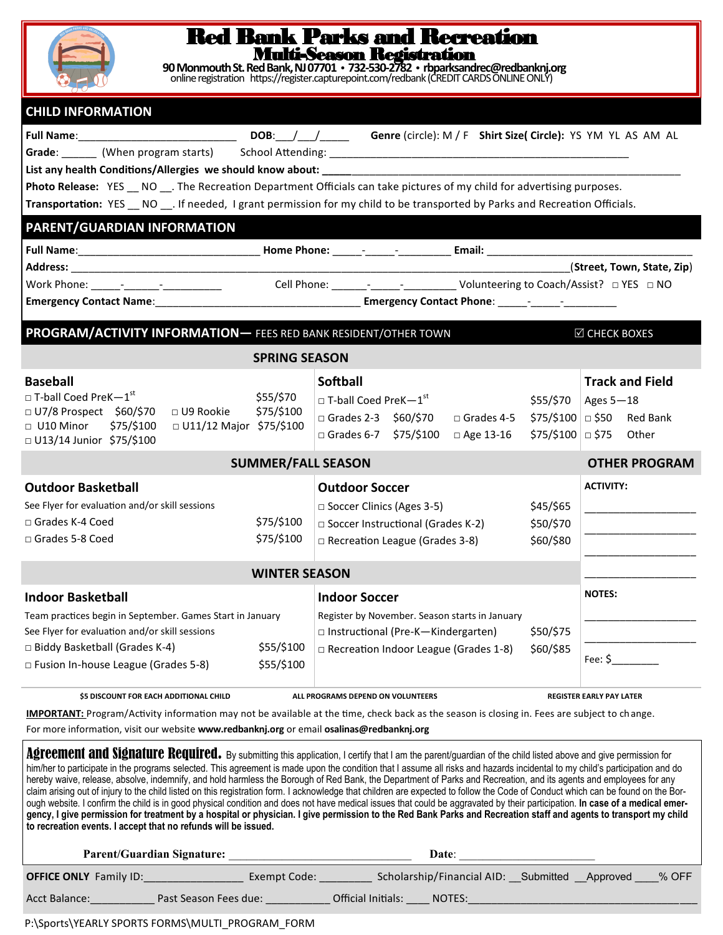

## Red Bank Parks and Recreation Multi-Season Registration

**90 Monmouth St. Red Bank, NJ 07701 <sup>732</sup>-530-2782 rbparksandrec@redbanknj.org**  online registration https://register.capturepoint.com/redbank (CREDIT CARDS ONLINE ONLY)

| <b>CHILD INFORMATION</b>                                                                                                                                                                                                                                                                                                                                                                                                                                                                                                                                                                                                                                                                                                                                                                                                                                                                                                                                                                                                                                  |                           |                                                   |  |                                                |           |                                  |
|-----------------------------------------------------------------------------------------------------------------------------------------------------------------------------------------------------------------------------------------------------------------------------------------------------------------------------------------------------------------------------------------------------------------------------------------------------------------------------------------------------------------------------------------------------------------------------------------------------------------------------------------------------------------------------------------------------------------------------------------------------------------------------------------------------------------------------------------------------------------------------------------------------------------------------------------------------------------------------------------------------------------------------------------------------------|---------------------------|---------------------------------------------------|--|------------------------------------------------|-----------|----------------------------------|
|                                                                                                                                                                                                                                                                                                                                                                                                                                                                                                                                                                                                                                                                                                                                                                                                                                                                                                                                                                                                                                                           |                           |                                                   |  |                                                |           |                                  |
|                                                                                                                                                                                                                                                                                                                                                                                                                                                                                                                                                                                                                                                                                                                                                                                                                                                                                                                                                                                                                                                           |                           |                                                   |  |                                                |           |                                  |
|                                                                                                                                                                                                                                                                                                                                                                                                                                                                                                                                                                                                                                                                                                                                                                                                                                                                                                                                                                                                                                                           |                           |                                                   |  |                                                |           |                                  |
| Photo Release: YES __ NO __ The Recreation Department Officials can take pictures of my child for advertising purposes.                                                                                                                                                                                                                                                                                                                                                                                                                                                                                                                                                                                                                                                                                                                                                                                                                                                                                                                                   |                           |                                                   |  |                                                |           |                                  |
| Transportation: YES __ NO __ . If needed, I grant permission for my child to be transported by Parks and Recreation Officials.                                                                                                                                                                                                                                                                                                                                                                                                                                                                                                                                                                                                                                                                                                                                                                                                                                                                                                                            |                           |                                                   |  |                                                |           |                                  |
| PARENT/GUARDIAN INFORMATION                                                                                                                                                                                                                                                                                                                                                                                                                                                                                                                                                                                                                                                                                                                                                                                                                                                                                                                                                                                                                               |                           |                                                   |  |                                                |           |                                  |
|                                                                                                                                                                                                                                                                                                                                                                                                                                                                                                                                                                                                                                                                                                                                                                                                                                                                                                                                                                                                                                                           |                           |                                                   |  |                                                |           |                                  |
|                                                                                                                                                                                                                                                                                                                                                                                                                                                                                                                                                                                                                                                                                                                                                                                                                                                                                                                                                                                                                                                           |                           |                                                   |  |                                                |           |                                  |
|                                                                                                                                                                                                                                                                                                                                                                                                                                                                                                                                                                                                                                                                                                                                                                                                                                                                                                                                                                                                                                                           |                           |                                                   |  |                                                |           |                                  |
|                                                                                                                                                                                                                                                                                                                                                                                                                                                                                                                                                                                                                                                                                                                                                                                                                                                                                                                                                                                                                                                           |                           |                                                   |  |                                                |           |                                  |
| PROGRAM/ACTIVITY INFORMATION- FEES RED BANK RESIDENT/OTHER TOWN                                                                                                                                                                                                                                                                                                                                                                                                                                                                                                                                                                                                                                                                                                                                                                                                                                                                                                                                                                                           |                           |                                                   |  |                                                |           | $\boxtimes$ CHECK BOXES          |
|                                                                                                                                                                                                                                                                                                                                                                                                                                                                                                                                                                                                                                                                                                                                                                                                                                                                                                                                                                                                                                                           | <b>SPRING SEASON</b>      |                                                   |  |                                                |           |                                  |
| <b>Baseball</b>                                                                                                                                                                                                                                                                                                                                                                                                                                                                                                                                                                                                                                                                                                                                                                                                                                                                                                                                                                                                                                           |                           | Softball                                          |  |                                                |           | <b>Track and Field</b>           |
| $\Box$ T-ball Coed PreK $-1^{\text{st}}$                                                                                                                                                                                                                                                                                                                                                                                                                                                                                                                                                                                                                                                                                                                                                                                                                                                                                                                                                                                                                  | \$55/\$70                 | $\Box$ T-ball Coed PreK $-1^{\rm st}$             |  |                                                | \$55/\$70 | $\vert$ Ages 5-18                |
| □ U7/8 Prospect \$60/\$70<br>□ U9 Rookie                                                                                                                                                                                                                                                                                                                                                                                                                                                                                                                                                                                                                                                                                                                                                                                                                                                                                                                                                                                                                  | \$75/\$100                | $\Box$ Grades 2-3 \$60/\$70                       |  | $\Box$ Grades 4-5                              |           | $$75/\$100$ $\Box$ \$50 Red Bank |
| \$75/\$100<br>$\Box$ U10 Minor<br>□ U11/12 Major \$75/\$100<br>□ U13/14 Junior \$75/\$100                                                                                                                                                                                                                                                                                                                                                                                                                                                                                                                                                                                                                                                                                                                                                                                                                                                                                                                                                                 |                           | $\Box$ Grades 6-7 \$75/\$100                      |  | □ Age 13-16                                    |           | $$75/\$100$ $\Box$ \$75 Other    |
|                                                                                                                                                                                                                                                                                                                                                                                                                                                                                                                                                                                                                                                                                                                                                                                                                                                                                                                                                                                                                                                           | <b>SUMMER/FALL SEASON</b> |                                                   |  |                                                |           | <b>OTHER PROGRAM</b>             |
| <b>Outdoor Basketball</b>                                                                                                                                                                                                                                                                                                                                                                                                                                                                                                                                                                                                                                                                                                                                                                                                                                                                                                                                                                                                                                 |                           | <b>Outdoor Soccer</b>                             |  |                                                |           | <b>ACTIVITY:</b>                 |
| See Flyer for evaluation and/or skill sessions                                                                                                                                                                                                                                                                                                                                                                                                                                                                                                                                                                                                                                                                                                                                                                                                                                                                                                                                                                                                            |                           | □ Soccer Clinics (Ages 3-5)                       |  |                                                | \$45/\$65 |                                  |
| $\Box$ Grades K-4 Coed                                                                                                                                                                                                                                                                                                                                                                                                                                                                                                                                                                                                                                                                                                                                                                                                                                                                                                                                                                                                                                    | \$75/\$100                | □ Soccer Instructional (Grades K-2)               |  |                                                | \$50/\$70 |                                  |
| □ Grades 5-8 Coed                                                                                                                                                                                                                                                                                                                                                                                                                                                                                                                                                                                                                                                                                                                                                                                                                                                                                                                                                                                                                                         | \$75/\$100                | $\Box$ Recreation League (Grades 3-8)             |  |                                                | \$60/\$80 |                                  |
|                                                                                                                                                                                                                                                                                                                                                                                                                                                                                                                                                                                                                                                                                                                                                                                                                                                                                                                                                                                                                                                           | <b>WINTER SEASON</b>      |                                                   |  |                                                |           |                                  |
| <b>Indoor Basketball</b>                                                                                                                                                                                                                                                                                                                                                                                                                                                                                                                                                                                                                                                                                                                                                                                                                                                                                                                                                                                                                                  |                           | <b>Indoor Soccer</b>                              |  |                                                |           | <b>NOTES:</b>                    |
| Team practices begin in September. Games Start in January                                                                                                                                                                                                                                                                                                                                                                                                                                                                                                                                                                                                                                                                                                                                                                                                                                                                                                                                                                                                 |                           |                                                   |  | Register by November. Season starts in January |           |                                  |
| See Flyer for evaluation and/or skill sessions                                                                                                                                                                                                                                                                                                                                                                                                                                                                                                                                                                                                                                                                                                                                                                                                                                                                                                                                                                                                            |                           | \$50/\$75<br>□ Instructional (Pre-K-Kindergarten) |  |                                                |           |                                  |
| $\Box$ Biddy Basketball (Grades K-4)                                                                                                                                                                                                                                                                                                                                                                                                                                                                                                                                                                                                                                                                                                                                                                                                                                                                                                                                                                                                                      | \$55/\$100                | □ Recreation Indoor League (Grades 1-8)           |  |                                                | \$60/\$85 |                                  |
| $\Box$ Fusion In-house League (Grades 5-8)                                                                                                                                                                                                                                                                                                                                                                                                                                                                                                                                                                                                                                                                                                                                                                                                                                                                                                                                                                                                                | \$55/\$100                |                                                   |  |                                                |           | Fee: \$                          |
| \$5 DISCOUNT FOR EACH ADDITIONAL CHILD                                                                                                                                                                                                                                                                                                                                                                                                                                                                                                                                                                                                                                                                                                                                                                                                                                                                                                                                                                                                                    |                           | ALL PROGRAMS DEPEND ON VOLUNTEERS                 |  |                                                |           | <b>REGISTER EARLY PAY LATER</b>  |
| <b>IMPORTANT:</b> Program/Activity information may not be available at the time, check back as the season is closing in. Fees are subject to change.                                                                                                                                                                                                                                                                                                                                                                                                                                                                                                                                                                                                                                                                                                                                                                                                                                                                                                      |                           |                                                   |  |                                                |           |                                  |
| For more information, visit our website www.redbanknj.org or email osalinas@redbanknj.org                                                                                                                                                                                                                                                                                                                                                                                                                                                                                                                                                                                                                                                                                                                                                                                                                                                                                                                                                                 |                           |                                                   |  |                                                |           |                                  |
| Agreement and Signature Required. By submitting this application, I certify that I am the parent/guardian of the child listed above and give permission for<br>him/her to participate in the programs selected. This agreement is made upon the condition that I assume all risks and hazards incidental to my child's participation and do<br>hereby waive, release, absolve, indemnify, and hold harmless the Borough of Red Bank, the Department of Parks and Recreation, and its agents and employees for any<br>claim arising out of injury to the child listed on this registration form. I acknowledge that children are expected to follow the Code of Conduct which can be found on the Bor-<br>ough website. I confirm the child is in good physical condition and does not have medical issues that could be aggravated by their participation. In case of a medical emer-<br>gency, I give permission for treatment by a hospital or physician. I give permission to the Red Bank Parks and Recreation staff and agents to transport my child |                           |                                                   |  |                                                |           |                                  |

**to recreation events. I accept that no refunds will be issued.**

|                               | <b>Parent/Guardian Signature:</b> |                    | <b>Date:</b>                                  |  |       |
|-------------------------------|-----------------------------------|--------------------|-----------------------------------------------|--|-------|
| <b>OFFICE ONLY</b> Family ID: | Exempt Code:                      |                    | Scholarship/Financial AID: Submitted Approved |  | % OFF |
| Acct Balance:                 | <b>Past Season Fees due:</b>      | Official Initials: | NOTES:                                        |  |       |

## P:\Sports\YEARLY SPORTS FORMS\MULTI\_PROGRAM\_FORM